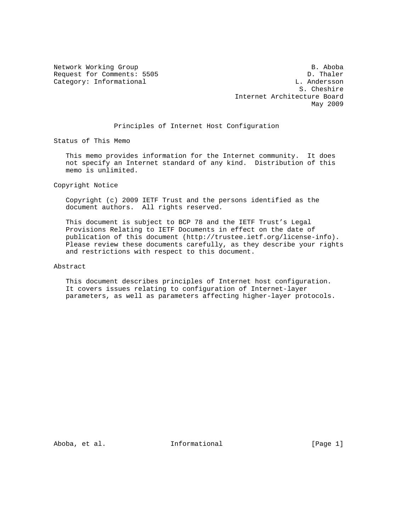Category: Informational

Network Working Group<br>Request for Comments: 5505 Sequest for Comments: 5505 Request for Comments: 5505 D. Thaler<br>
Category: Informational D. Andersson S. Cheshire Internet Architecture Board May 2009

Principles of Internet Host Configuration

Status of This Memo

 This memo provides information for the Internet community. It does not specify an Internet standard of any kind. Distribution of this memo is unlimited.

Copyright Notice

 Copyright (c) 2009 IETF Trust and the persons identified as the document authors. All rights reserved.

 This document is subject to BCP 78 and the IETF Trust's Legal Provisions Relating to IETF Documents in effect on the date of publication of this document (http://trustee.ietf.org/license-info). Please review these documents carefully, as they describe your rights and restrictions with respect to this document.

Abstract

 This document describes principles of Internet host configuration. It covers issues relating to configuration of Internet-layer parameters, as well as parameters affecting higher-layer protocols.

Aboba, et al.  $I_n$  Informational (Page 1)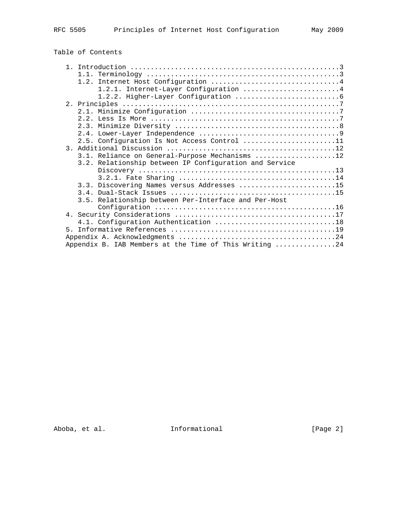# Table of Contents

|  |   | 1.2.1. Internet-Layer Configuration 4                  |  |  |  |
|--|---|--------------------------------------------------------|--|--|--|
|  |   |                                                        |  |  |  |
|  |   |                                                        |  |  |  |
|  |   |                                                        |  |  |  |
|  |   |                                                        |  |  |  |
|  |   |                                                        |  |  |  |
|  |   |                                                        |  |  |  |
|  |   | 2.5. Configuration Is Not Access Control 11            |  |  |  |
|  |   |                                                        |  |  |  |
|  |   | 3.1. Reliance on General-Purpose Mechanisms 12         |  |  |  |
|  |   | 3.2. Relationship between IP Configuration and Service |  |  |  |
|  |   |                                                        |  |  |  |
|  |   |                                                        |  |  |  |
|  |   | 3.3. Discovering Names versus Addresses 15             |  |  |  |
|  |   |                                                        |  |  |  |
|  |   | 3.5. Relationship between Per-Interface and Per-Host   |  |  |  |
|  |   |                                                        |  |  |  |
|  |   |                                                        |  |  |  |
|  |   |                                                        |  |  |  |
|  | 5 |                                                        |  |  |  |
|  |   |                                                        |  |  |  |
|  |   | Appendix B. IAB Members at the Time of This Writing 24 |  |  |  |
|  |   |                                                        |  |  |  |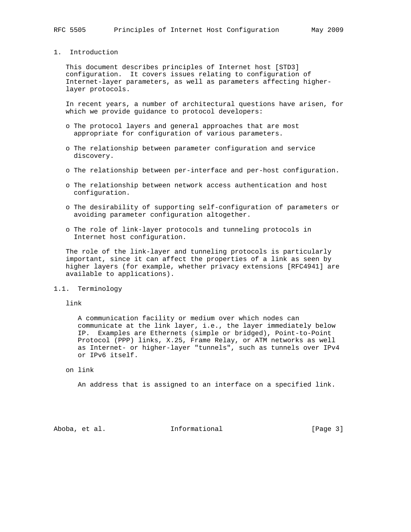# 1. Introduction

 This document describes principles of Internet host [STD3] configuration. It covers issues relating to configuration of Internet-layer parameters, as well as parameters affecting higher layer protocols.

 In recent years, a number of architectural questions have arisen, for which we provide guidance to protocol developers:

- o The protocol layers and general approaches that are most appropriate for configuration of various parameters.
- o The relationship between parameter configuration and service discovery.
- o The relationship between per-interface and per-host configuration.
- o The relationship between network access authentication and host configuration.
- o The desirability of supporting self-configuration of parameters or avoiding parameter configuration altogether.
- o The role of link-layer protocols and tunneling protocols in Internet host configuration.

 The role of the link-layer and tunneling protocols is particularly important, since it can affect the properties of a link as seen by higher layers (for example, whether privacy extensions [RFC4941] are available to applications).

# 1.1. Terminology

link

 A communication facility or medium over which nodes can communicate at the link layer, i.e., the layer immediately below IP. Examples are Ethernets (simple or bridged), Point-to-Point Protocol (PPP) links, X.25, Frame Relay, or ATM networks as well as Internet- or higher-layer "tunnels", such as tunnels over IPv4 or IPv6 itself.

#### on link

An address that is assigned to an interface on a specified link.

Aboba, et al.  $I_n$  Informational  $[Page 3]$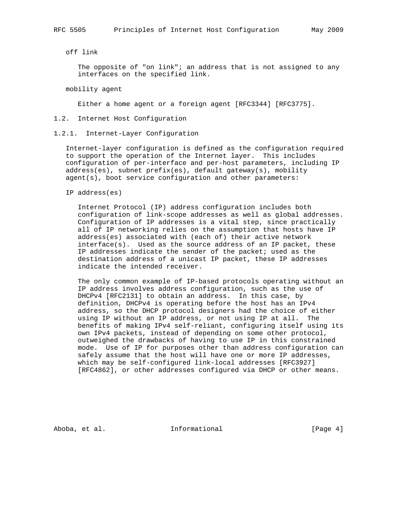off link

 The opposite of "on link"; an address that is not assigned to any interfaces on the specified link.

mobility agent

Either a home agent or a foreign agent [RFC3344] [RFC3775].

1.2. Internet Host Configuration

1.2.1. Internet-Layer Configuration

 Internet-layer configuration is defined as the configuration required to support the operation of the Internet layer. This includes configuration of per-interface and per-host parameters, including IP address(es), subnet prefix(es), default gateway(s), mobility agent(s), boot service configuration and other parameters:

IP address(es)

 Internet Protocol (IP) address configuration includes both configuration of link-scope addresses as well as global addresses. Configuration of IP addresses is a vital step, since practically all of IP networking relies on the assumption that hosts have IP address(es) associated with (each of) their active network interface(s). Used as the source address of an IP packet, these IP addresses indicate the sender of the packet; used as the destination address of a unicast IP packet, these IP addresses indicate the intended receiver.

 The only common example of IP-based protocols operating without an IP address involves address configuration, such as the use of DHCPv4 [RFC2131] to obtain an address. In this case, by definition, DHCPv4 is operating before the host has an IPv4 address, so the DHCP protocol designers had the choice of either using IP without an IP address, or not using IP at all. The benefits of making IPv4 self-reliant, configuring itself using its own IPv4 packets, instead of depending on some other protocol, outweighed the drawbacks of having to use IP in this constrained mode. Use of IP for purposes other than address configuration can safely assume that the host will have one or more IP addresses, which may be self-configured link-local addresses [RFC3927] [RFC4862], or other addresses configured via DHCP or other means.

Aboba, et al. **Informational** [Page 4]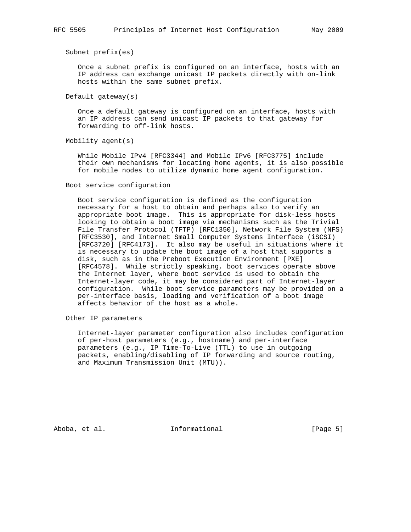Subnet prefix(es)

 Once a subnet prefix is configured on an interface, hosts with an IP address can exchange unicast IP packets directly with on-link hosts within the same subnet prefix.

Default gateway(s)

 Once a default gateway is configured on an interface, hosts with an IP address can send unicast IP packets to that gateway for forwarding to off-link hosts.

Mobility agent(s)

 While Mobile IPv4 [RFC3344] and Mobile IPv6 [RFC3775] include their own mechanisms for locating home agents, it is also possible for mobile nodes to utilize dynamic home agent configuration.

Boot service configuration

 Boot service configuration is defined as the configuration necessary for a host to obtain and perhaps also to verify an appropriate boot image. This is appropriate for disk-less hosts looking to obtain a boot image via mechanisms such as the Trivial File Transfer Protocol (TFTP) [RFC1350], Network File System (NFS) [RFC3530], and Internet Small Computer Systems Interface (iSCSI) [RFC3720] [RFC4173]. It also may be useful in situations where it is necessary to update the boot image of a host that supports a disk, such as in the Preboot Execution Environment [PXE] [RFC4578]. While strictly speaking, boot services operate above the Internet layer, where boot service is used to obtain the Internet-layer code, it may be considered part of Internet-layer configuration. While boot service parameters may be provided on a per-interface basis, loading and verification of a boot image affects behavior of the host as a whole.

Other IP parameters

 Internet-layer parameter configuration also includes configuration of per-host parameters (e.g., hostname) and per-interface parameters (e.g., IP Time-To-Live (TTL) to use in outgoing packets, enabling/disabling of IP forwarding and source routing, and Maximum Transmission Unit (MTU)).

Aboba, et al. 10 Informational 1000 [Page 5]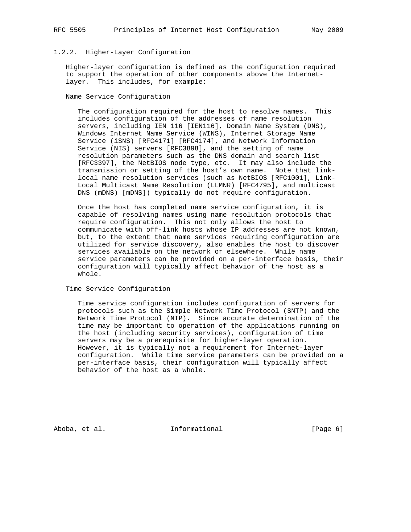# 1.2.2. Higher-Layer Configuration

 Higher-layer configuration is defined as the configuration required to support the operation of other components above the Internet layer. This includes, for example:

Name Service Configuration

 The configuration required for the host to resolve names. This includes configuration of the addresses of name resolution servers, including IEN 116 [IEN116], Domain Name System (DNS), Windows Internet Name Service (WINS), Internet Storage Name Service (iSNS) [RFC4171] [RFC4174], and Network Information Service (NIS) servers [RFC3898], and the setting of name resolution parameters such as the DNS domain and search list [RFC3397], the NetBIOS node type, etc. It may also include the transmission or setting of the host's own name. Note that link local name resolution services (such as NetBIOS [RFC1001], Link- Local Multicast Name Resolution (LLMNR) [RFC4795], and multicast DNS (mDNS) [mDNS]) typically do not require configuration.

 Once the host has completed name service configuration, it is capable of resolving names using name resolution protocols that require configuration. This not only allows the host to communicate with off-link hosts whose IP addresses are not known, but, to the extent that name services requiring configuration are utilized for service discovery, also enables the host to discover services available on the network or elsewhere. While name service parameters can be provided on a per-interface basis, their configuration will typically affect behavior of the host as a whole.

Time Service Configuration

 Time service configuration includes configuration of servers for protocols such as the Simple Network Time Protocol (SNTP) and the Network Time Protocol (NTP). Since accurate determination of the time may be important to operation of the applications running on the host (including security services), configuration of time servers may be a prerequisite for higher-layer operation. However, it is typically not a requirement for Internet-layer configuration. While time service parameters can be provided on a per-interface basis, their configuration will typically affect behavior of the host as a whole.

Aboba, et al. **Informational** [Page 6]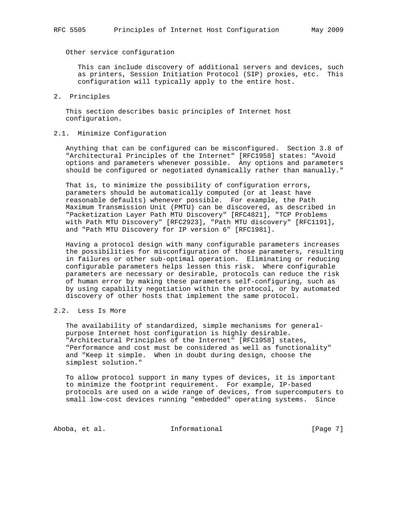Other service configuration

 This can include discovery of additional servers and devices, such as printers, Session Initiation Protocol (SIP) proxies, etc. This configuration will typically apply to the entire host.

2. Principles

 This section describes basic principles of Internet host configuration.

### 2.1. Minimize Configuration

 Anything that can be configured can be misconfigured. Section 3.8 of "Architectural Principles of the Internet" [RFC1958] states: "Avoid options and parameters whenever possible. Any options and parameters should be configured or negotiated dynamically rather than manually."

 That is, to minimize the possibility of configuration errors, parameters should be automatically computed (or at least have reasonable defaults) whenever possible. For example, the Path Maximum Transmission Unit (PMTU) can be discovered, as described in "Packetization Layer Path MTU Discovery" [RFC4821], "TCP Problems with Path MTU Discovery" [RFC2923], "Path MTU discovery" [RFC1191], and "Path MTU Discovery for IP version 6" [RFC1981].

 Having a protocol design with many configurable parameters increases the possibilities for misconfiguration of those parameters, resulting in failures or other sub-optimal operation. Eliminating or reducing configurable parameters helps lessen this risk. Where configurable parameters are necessary or desirable, protocols can reduce the risk of human error by making these parameters self-configuring, such as by using capability negotiation within the protocol, or by automated discovery of other hosts that implement the same protocol.

# 2.2. Less Is More

 The availability of standardized, simple mechanisms for general purpose Internet host configuration is highly desirable. "Architectural Principles of the Internet" [RFC1958] states, "Performance and cost must be considered as well as functionality" and "Keep it simple. When in doubt during design, choose the simplest solution."

 To allow protocol support in many types of devices, it is important to minimize the footprint requirement. For example, IP-based protocols are used on a wide range of devices, from supercomputers to small low-cost devices running "embedded" operating systems. Since

Aboba, et al. 10 Informational 10 100 [Page 7]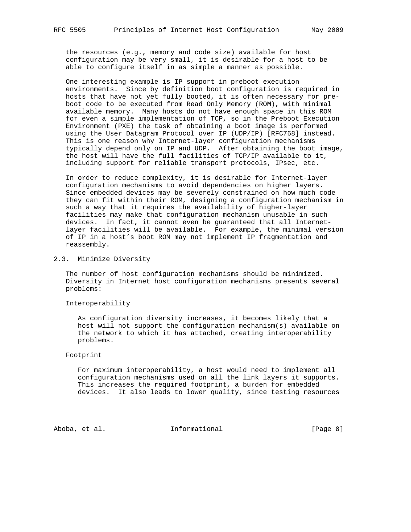the resources (e.g., memory and code size) available for host configuration may be very small, it is desirable for a host to be able to configure itself in as simple a manner as possible.

 One interesting example is IP support in preboot execution environments. Since by definition boot configuration is required in hosts that have not yet fully booted, it is often necessary for pre boot code to be executed from Read Only Memory (ROM), with minimal available memory. Many hosts do not have enough space in this ROM for even a simple implementation of TCP, so in the Preboot Execution Environment (PXE) the task of obtaining a boot image is performed using the User Datagram Protocol over IP (UDP/IP) [RFC768] instead. This is one reason why Internet-layer configuration mechanisms typically depend only on IP and UDP. After obtaining the boot image, the host will have the full facilities of TCP/IP available to it, including support for reliable transport protocols, IPsec, etc.

 In order to reduce complexity, it is desirable for Internet-layer configuration mechanisms to avoid dependencies on higher layers. Since embedded devices may be severely constrained on how much code they can fit within their ROM, designing a configuration mechanism in such a way that it requires the availability of higher-layer facilities may make that configuration mechanism unusable in such devices. In fact, it cannot even be guaranteed that all Internet layer facilities will be available. For example, the minimal version of IP in a host's boot ROM may not implement IP fragmentation and reassembly.

# 2.3. Minimize Diversity

 The number of host configuration mechanisms should be minimized. Diversity in Internet host configuration mechanisms presents several problems:

Interoperability

 As configuration diversity increases, it becomes likely that a host will not support the configuration mechanism(s) available on the network to which it has attached, creating interoperability problems.

# Footprint

 For maximum interoperability, a host would need to implement all configuration mechanisms used on all the link layers it supports. This increases the required footprint, a burden for embedded devices. It also leads to lower quality, since testing resources

Aboba, et al.  $I_n$  Informational  $[Paq e 8]$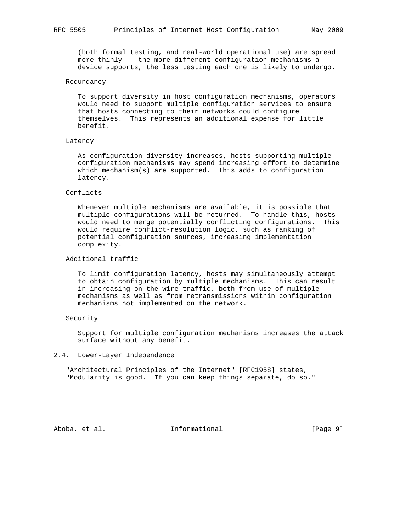(both formal testing, and real-world operational use) are spread more thinly -- the more different configuration mechanisms a device supports, the less testing each one is likely to undergo.

# Redundancy

 To support diversity in host configuration mechanisms, operators would need to support multiple configuration services to ensure that hosts connecting to their networks could configure themselves. This represents an additional expense for little benefit.

#### Latency

 As configuration diversity increases, hosts supporting multiple configuration mechanisms may spend increasing effort to determine which mechanism(s) are supported. This adds to configuration latency.

#### Conflicts

 Whenever multiple mechanisms are available, it is possible that multiple configurations will be returned. To handle this, hosts would need to merge potentially conflicting configurations. This would require conflict-resolution logic, such as ranking of potential configuration sources, increasing implementation complexity.

# Additional traffic

 To limit configuration latency, hosts may simultaneously attempt to obtain configuration by multiple mechanisms. This can result in increasing on-the-wire traffic, both from use of multiple mechanisms as well as from retransmissions within configuration mechanisms not implemented on the network.

#### Security

 Support for multiple configuration mechanisms increases the attack surface without any benefit.

# 2.4. Lower-Layer Independence

 "Architectural Principles of the Internet" [RFC1958] states, "Modularity is good. If you can keep things separate, do so."

Aboba, et al.  $\qquad \qquad$  Informational  $[Page 9]$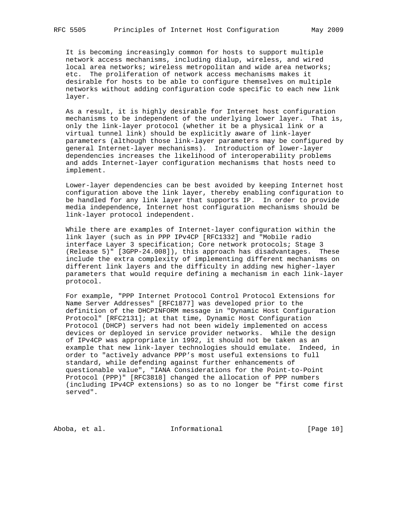It is becoming increasingly common for hosts to support multiple network access mechanisms, including dialup, wireless, and wired local area networks; wireless metropolitan and wide area networks; etc. The proliferation of network access mechanisms makes it desirable for hosts to be able to configure themselves on multiple networks without adding configuration code specific to each new link layer.

 As a result, it is highly desirable for Internet host configuration mechanisms to be independent of the underlying lower layer. That is, only the link-layer protocol (whether it be a physical link or a virtual tunnel link) should be explicitly aware of link-layer parameters (although those link-layer parameters may be configured by general Internet-layer mechanisms). Introduction of lower-layer dependencies increases the likelihood of interoperability problems and adds Internet-layer configuration mechanisms that hosts need to implement.

 Lower-layer dependencies can be best avoided by keeping Internet host configuration above the link layer, thereby enabling configuration to be handled for any link layer that supports IP. In order to provide media independence, Internet host configuration mechanisms should be link-layer protocol independent.

 While there are examples of Internet-layer configuration within the link layer (such as in PPP IPv4CP [RFC1332] and "Mobile radio interface Layer 3 specification; Core network protocols; Stage 3 (Release 5)" [3GPP-24.008]), this approach has disadvantages. These include the extra complexity of implementing different mechanisms on different link layers and the difficulty in adding new higher-layer parameters that would require defining a mechanism in each link-layer protocol.

 For example, "PPP Internet Protocol Control Protocol Extensions for Name Server Addresses" [RFC1877] was developed prior to the definition of the DHCPINFORM message in "Dynamic Host Configuration Protocol" [RFC2131]; at that time, Dynamic Host Configuration Protocol (DHCP) servers had not been widely implemented on access devices or deployed in service provider networks. While the design of IPv4CP was appropriate in 1992, it should not be taken as an example that new link-layer technologies should emulate. Indeed, in order to "actively advance PPP's most useful extensions to full standard, while defending against further enhancements of questionable value", "IANA Considerations for the Point-to-Point Protocol (PPP)" [RFC3818] changed the allocation of PPP numbers (including IPv4CP extensions) so as to no longer be "first come first served".

Aboba, et al. 10 Informational 10 [Page 10]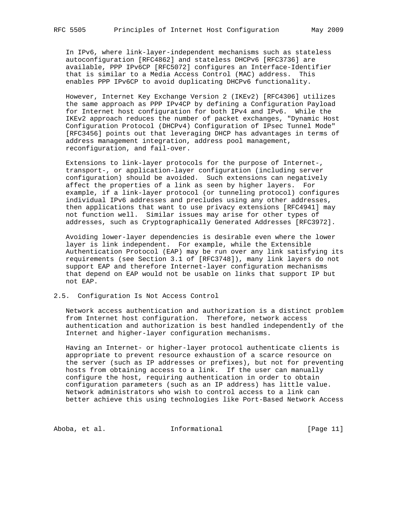In IPv6, where link-layer-independent mechanisms such as stateless autoconfiguration [RFC4862] and stateless DHCPv6 [RFC3736] are available, PPP IPv6CP [RFC5072] configures an Interface-Identifier that is similar to a Media Access Control (MAC) address. This enables PPP IPv6CP to avoid duplicating DHCPv6 functionality.

 However, Internet Key Exchange Version 2 (IKEv2) [RFC4306] utilizes the same approach as PPP IPv4CP by defining a Configuration Payload for Internet host configuration for both IPv4 and IPv6. While the IKEv2 approach reduces the number of packet exchanges, "Dynamic Host Configuration Protocol (DHCPv4) Configuration of IPsec Tunnel Mode" [RFC3456] points out that leveraging DHCP has advantages in terms of address management integration, address pool management, reconfiguration, and fail-over.

 Extensions to link-layer protocols for the purpose of Internet-, transport-, or application-layer configuration (including server configuration) should be avoided. Such extensions can negatively affect the properties of a link as seen by higher layers. For example, if a link-layer protocol (or tunneling protocol) configures individual IPv6 addresses and precludes using any other addresses, then applications that want to use privacy extensions [RFC4941] may not function well. Similar issues may arise for other types of addresses, such as Cryptographically Generated Addresses [RFC3972].

 Avoiding lower-layer dependencies is desirable even where the lower layer is link independent. For example, while the Extensible Authentication Protocol (EAP) may be run over any link satisfying its requirements (see Section 3.1 of [RFC3748]), many link layers do not support EAP and therefore Internet-layer configuration mechanisms that depend on EAP would not be usable on links that support IP but not EAP.

# 2.5. Configuration Is Not Access Control

 Network access authentication and authorization is a distinct problem from Internet host configuration. Therefore, network access authentication and authorization is best handled independently of the Internet and higher-layer configuration mechanisms.

 Having an Internet- or higher-layer protocol authenticate clients is appropriate to prevent resource exhaustion of a scarce resource on the server (such as IP addresses or prefixes), but not for preventing hosts from obtaining access to a link. If the user can manually configure the host, requiring authentication in order to obtain configuration parameters (such as an IP address) has little value. Network administrators who wish to control access to a link can better achieve this using technologies like Port-Based Network Access

Aboba, et al. 10. Informational 1. [Page 11]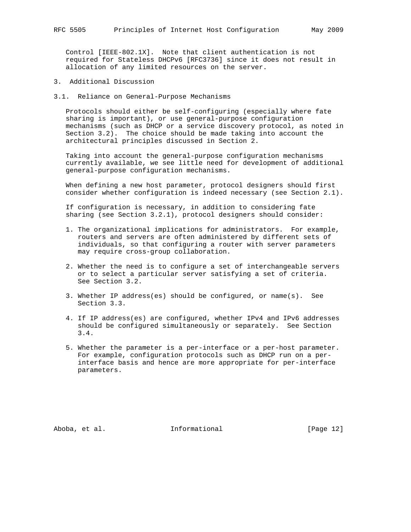Control [IEEE-802.1X]. Note that client authentication is not required for Stateless DHCPv6 [RFC3736] since it does not result in allocation of any limited resources on the server.

- 3. Additional Discussion
- 3.1. Reliance on General-Purpose Mechanisms

 Protocols should either be self-configuring (especially where fate sharing is important), or use general-purpose configuration mechanisms (such as DHCP or a service discovery protocol, as noted in Section 3.2). The choice should be made taking into account the architectural principles discussed in Section 2.

 Taking into account the general-purpose configuration mechanisms currently available, we see little need for development of additional general-purpose configuration mechanisms.

 When defining a new host parameter, protocol designers should first consider whether configuration is indeed necessary (see Section 2.1).

 If configuration is necessary, in addition to considering fate sharing (see Section 3.2.1), protocol designers should consider:

- 1. The organizational implications for administrators. For example, routers and servers are often administered by different sets of individuals, so that configuring a router with server parameters may require cross-group collaboration.
- 2. Whether the need is to configure a set of interchangeable servers or to select a particular server satisfying a set of criteria. See Section 3.2.
- 3. Whether IP address(es) should be configured, or name(s). See Section 3.3.
- 4. If IP address(es) are configured, whether IPv4 and IPv6 addresses should be configured simultaneously or separately. See Section 3.4.
- 5. Whether the parameter is a per-interface or a per-host parameter. For example, configuration protocols such as DHCP run on a per interface basis and hence are more appropriate for per-interface parameters.

Aboba, et al. 10 Informational 1999 [Page 12]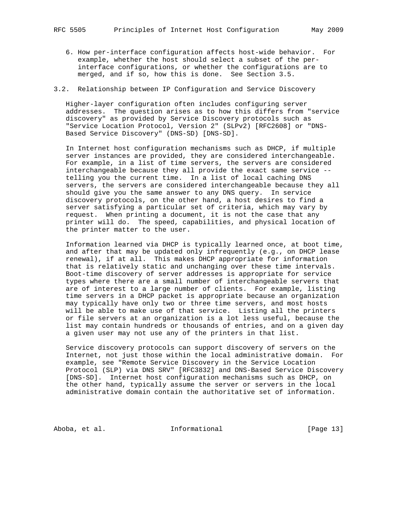6. How per-interface configuration affects host-wide behavior. For example, whether the host should select a subset of the per interface configurations, or whether the configurations are to merged, and if so, how this is done. See Section 3.5.

# 3.2. Relationship between IP Configuration and Service Discovery

 Higher-layer configuration often includes configuring server addresses. The question arises as to how this differs from "service discovery" as provided by Service Discovery protocols such as "Service Location Protocol, Version 2" (SLPv2) [RFC2608] or "DNS- Based Service Discovery" (DNS-SD) [DNS-SD].

 In Internet host configuration mechanisms such as DHCP, if multiple server instances are provided, they are considered interchangeable. For example, in a list of time servers, the servers are considered interchangeable because they all provide the exact same service - telling you the current time. In a list of local caching DNS servers, the servers are considered interchangeable because they all should give you the same answer to any DNS query. In service discovery protocols, on the other hand, a host desires to find a server satisfying a particular set of criteria, which may vary by request. When printing a document, it is not the case that any printer will do. The speed, capabilities, and physical location of the printer matter to the user.

 Information learned via DHCP is typically learned once, at boot time, and after that may be updated only infrequently (e.g., on DHCP lease renewal), if at all. This makes DHCP appropriate for information that is relatively static and unchanging over these time intervals. Boot-time discovery of server addresses is appropriate for service types where there are a small number of interchangeable servers that are of interest to a large number of clients. For example, listing time servers in a DHCP packet is appropriate because an organization may typically have only two or three time servers, and most hosts will be able to make use of that service. Listing all the printers or file servers at an organization is a lot less useful, because the list may contain hundreds or thousands of entries, and on a given day a given user may not use any of the printers in that list.

 Service discovery protocols can support discovery of servers on the Internet, not just those within the local administrative domain. For example, see "Remote Service Discovery in the Service Location Protocol (SLP) via DNS SRV" [RFC3832] and DNS-Based Service Discovery [DNS-SD]. Internet host configuration mechanisms such as DHCP, on the other hand, typically assume the server or servers in the local administrative domain contain the authoritative set of information.

Aboba, et al. 10 Informational 1999 [Page 13]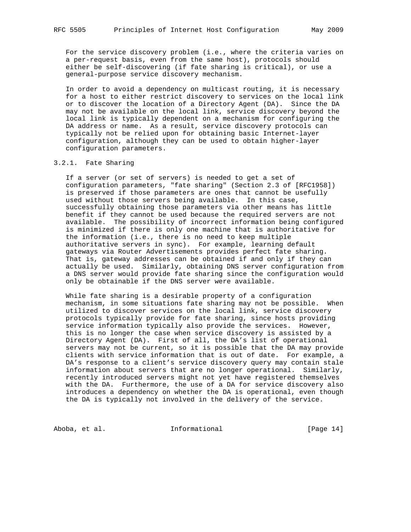For the service discovery problem (i.e., where the criteria varies on a per-request basis, even from the same host), protocols should either be self-discovering (if fate sharing is critical), or use a general-purpose service discovery mechanism.

 In order to avoid a dependency on multicast routing, it is necessary for a host to either restrict discovery to services on the local link or to discover the location of a Directory Agent (DA). Since the DA may not be available on the local link, service discovery beyond the local link is typically dependent on a mechanism for configuring the DA address or name. As a result, service discovery protocols can typically not be relied upon for obtaining basic Internet-layer configuration, although they can be used to obtain higher-layer configuration parameters.

### 3.2.1. Fate Sharing

 If a server (or set of servers) is needed to get a set of configuration parameters, "fate sharing" (Section 2.3 of [RFC1958]) is preserved if those parameters are ones that cannot be usefully used without those servers being available. In this case, successfully obtaining those parameters via other means has little benefit if they cannot be used because the required servers are not available. The possibility of incorrect information being configured is minimized if there is only one machine that is authoritative for the information (i.e., there is no need to keep multiple authoritative servers in sync). For example, learning default gateways via Router Advertisements provides perfect fate sharing. That is, gateway addresses can be obtained if and only if they can actually be used. Similarly, obtaining DNS server configuration from a DNS server would provide fate sharing since the configuration would only be obtainable if the DNS server were available.

 While fate sharing is a desirable property of a configuration mechanism, in some situations fate sharing may not be possible. When utilized to discover services on the local link, service discovery protocols typically provide for fate sharing, since hosts providing service information typically also provide the services. However, this is no longer the case when service discovery is assisted by a Directory Agent (DA). First of all, the DA's list of operational servers may not be current, so it is possible that the DA may provide clients with service information that is out of date. For example, a DA's response to a client's service discovery query may contain stale information about servers that are no longer operational. Similarly, recently introduced servers might not yet have registered themselves with the DA. Furthermore, the use of a DA for service discovery also introduces a dependency on whether the DA is operational, even though the DA is typically not involved in the delivery of the service.

Aboba, et al. 10. Informational 1. [Page 14]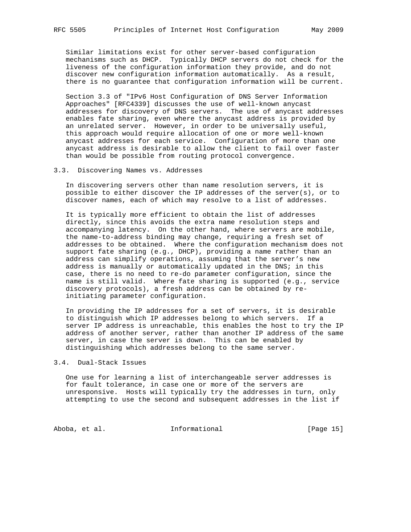Similar limitations exist for other server-based configuration mechanisms such as DHCP. Typically DHCP servers do not check for the liveness of the configuration information they provide, and do not discover new configuration information automatically. As a result, there is no guarantee that configuration information will be current.

 Section 3.3 of "IPv6 Host Configuration of DNS Server Information Approaches" [RFC4339] discusses the use of well-known anycast addresses for discovery of DNS servers. The use of anycast addresses enables fate sharing, even where the anycast address is provided by an unrelated server. However, in order to be universally useful, this approach would require allocation of one or more well-known anycast addresses for each service. Configuration of more than one anycast address is desirable to allow the client to fail over faster than would be possible from routing protocol convergence.

# 3.3. Discovering Names vs. Addresses

 In discovering servers other than name resolution servers, it is possible to either discover the IP addresses of the server(s), or to discover names, each of which may resolve to a list of addresses.

 It is typically more efficient to obtain the list of addresses directly, since this avoids the extra name resolution steps and accompanying latency. On the other hand, where servers are mobile, the name-to-address binding may change, requiring a fresh set of addresses to be obtained. Where the configuration mechanism does not support fate sharing (e.g., DHCP), providing a name rather than an address can simplify operations, assuming that the server's new address is manually or automatically updated in the DNS; in this case, there is no need to re-do parameter configuration, since the name is still valid. Where fate sharing is supported (e.g., service discovery protocols), a fresh address can be obtained by re initiating parameter configuration.

 In providing the IP addresses for a set of servers, it is desirable to distinguish which IP addresses belong to which servers. If a server IP address is unreachable, this enables the host to try the IP address of another server, rather than another IP address of the same server, in case the server is down. This can be enabled by distinguishing which addresses belong to the same server.

# 3.4. Dual-Stack Issues

 One use for learning a list of interchangeable server addresses is for fault tolerance, in case one or more of the servers are unresponsive. Hosts will typically try the addresses in turn, only attempting to use the second and subsequent addresses in the list if

Aboba, et al. Informational [Page 15]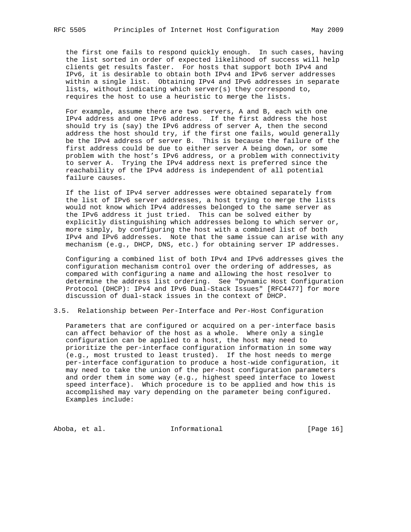the first one fails to respond quickly enough. In such cases, having the list sorted in order of expected likelihood of success will help clients get results faster. For hosts that support both IPv4 and IPv6, it is desirable to obtain both IPv4 and IPv6 server addresses within a single list. Obtaining IPv4 and IPv6 addresses in separate lists, without indicating which server(s) they correspond to, requires the host to use a heuristic to merge the lists.

 For example, assume there are two servers, A and B, each with one IPv4 address and one IPv6 address. If the first address the host should try is (say) the IPv6 address of server A, then the second address the host should try, if the first one fails, would generally be the IPv4 address of server B. This is because the failure of the first address could be due to either server A being down, or some problem with the host's IPv6 address, or a problem with connectivity to server A. Trying the IPv4 address next is preferred since the reachability of the IPv4 address is independent of all potential failure causes.

 If the list of IPv4 server addresses were obtained separately from the list of IPv6 server addresses, a host trying to merge the lists would not know which IPv4 addresses belonged to the same server as the IPv6 address it just tried. This can be solved either by explicitly distinguishing which addresses belong to which server or, more simply, by configuring the host with a combined list of both IPv4 and IPv6 addresses. Note that the same issue can arise with any mechanism (e.g., DHCP, DNS, etc.) for obtaining server IP addresses.

 Configuring a combined list of both IPv4 and IPv6 addresses gives the configuration mechanism control over the ordering of addresses, as compared with configuring a name and allowing the host resolver to determine the address list ordering. See "Dynamic Host Configuration Protocol (DHCP): IPv4 and IPv6 Dual-Stack Issues" [RFC4477] for more discussion of dual-stack issues in the context of DHCP.

# 3.5. Relationship between Per-Interface and Per-Host Configuration

 Parameters that are configured or acquired on a per-interface basis can affect behavior of the host as a whole. Where only a single configuration can be applied to a host, the host may need to prioritize the per-interface configuration information in some way (e.g., most trusted to least trusted). If the host needs to merge per-interface configuration to produce a host-wide configuration, it may need to take the union of the per-host configuration parameters and order them in some way (e.g., highest speed interface to lowest speed interface). Which procedure is to be applied and how this is accomplished may vary depending on the parameter being configured. Examples include:

Aboba, et al. 10 Informational 1999 [Page 16]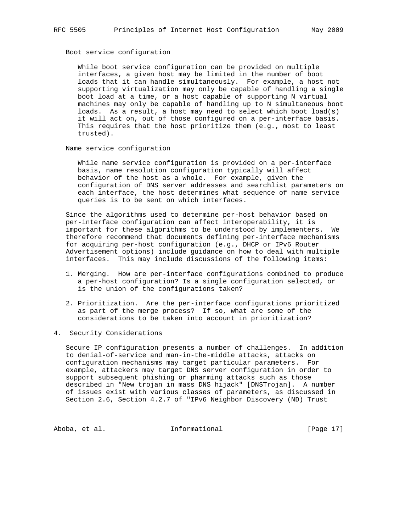# Boot service configuration

 While boot service configuration can be provided on multiple interfaces, a given host may be limited in the number of boot loads that it can handle simultaneously. For example, a host not supporting virtualization may only be capable of handling a single boot load at a time, or a host capable of supporting N virtual machines may only be capable of handling up to N simultaneous boot loads. As a result, a host may need to select which boot load(s) it will act on, out of those configured on a per-interface basis. This requires that the host prioritize them (e.g., most to least trusted).

### Name service configuration

 While name service configuration is provided on a per-interface basis, name resolution configuration typically will affect behavior of the host as a whole. For example, given the configuration of DNS server addresses and searchlist parameters on each interface, the host determines what sequence of name service queries is to be sent on which interfaces.

 Since the algorithms used to determine per-host behavior based on per-interface configuration can affect interoperability, it is important for these algorithms to be understood by implementers. We therefore recommend that documents defining per-interface mechanisms for acquiring per-host configuration (e.g., DHCP or IPv6 Router Advertisement options) include guidance on how to deal with multiple interfaces. This may include discussions of the following items:

- 1. Merging. How are per-interface configurations combined to produce a per-host configuration? Is a single configuration selected, or is the union of the configurations taken?
- 2. Prioritization. Are the per-interface configurations prioritized as part of the merge process? If so, what are some of the considerations to be taken into account in prioritization?
- 4. Security Considerations

 Secure IP configuration presents a number of challenges. In addition to denial-of-service and man-in-the-middle attacks, attacks on configuration mechanisms may target particular parameters. For example, attackers may target DNS server configuration in order to support subsequent phishing or pharming attacks such as those described in "New trojan in mass DNS hijack" [DNSTrojan]. A number of issues exist with various classes of parameters, as discussed in Section 2.6, Section 4.2.7 of "IPv6 Neighbor Discovery (ND) Trust

Aboba, et al. 10 Informational 1999 [Page 17]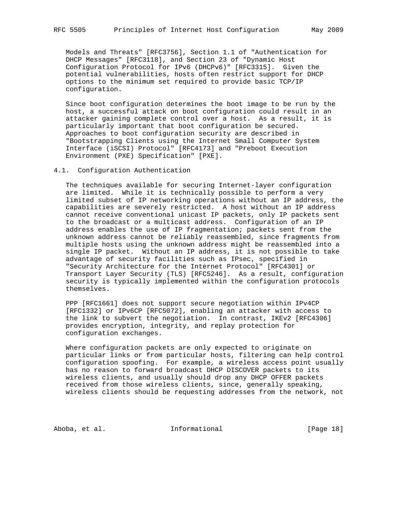Models and Threats" [RFC3756], Section 1.1 of "Authentication for DHCP Messages" [RFC3118], and Section 23 of "Dynamic Host Configuration Protocol for IPv6 (DHCPv6)" [RFC3315]. Given the potential vulnerabilities, hosts often restrict support for DHCP options to the minimum set required to provide basic TCP/IP configuration.

 Since boot configuration determines the boot image to be run by the host, a successful attack on boot configuration could result in an attacker gaining complete control over a host. As a result, it is particularly important that boot configuration be secured. Approaches to boot configuration security are described in "Bootstrapping Clients using the Internet Small Computer System Interface (iSCSI) Protocol" [RFC4173] and "Preboot Execution Environment (PXE) Specification" [PXE].

# 4.1. Configuration Authentication

 The techniques available for securing Internet-layer configuration are limited. While it is technically possible to perform a very limited subset of IP networking operations without an IP address, the capabilities are severely restricted. A host without an IP address cannot receive conventional unicast IP packets, only IP packets sent to the broadcast or a multicast address. Configuration of an IP address enables the use of IP fragmentation; packets sent from the unknown address cannot be reliably reassembled, since fragments from multiple hosts using the unknown address might be reassembled into a single IP packet. Without an IP address, it is not possible to take advantage of security facilities such as IPsec, specified in "Security Architecture for the Internet Protocol" [RFC4301] or Transport Layer Security (TLS) [RFC5246]. As a result, configuration security is typically implemented within the configuration protocols themselves.

 PPP [RFC1661] does not support secure negotiation within IPv4CP [RFC1332] or IPv6CP [RFC5072], enabling an attacker with access to the link to subvert the negotiation. In contrast, IKEv2 [RFC4306] provides encryption, integrity, and replay protection for configuration exchanges.

 Where configuration packets are only expected to originate on particular links or from particular hosts, filtering can help control configuration spoofing. For example, a wireless access point usually has no reason to forward broadcast DHCP DISCOVER packets to its wireless clients, and usually should drop any DHCP OFFER packets received from those wireless clients, since, generally speaking, wireless clients should be requesting addresses from the network, not

Aboba, et al. 10 Informational 1999 [Page 18]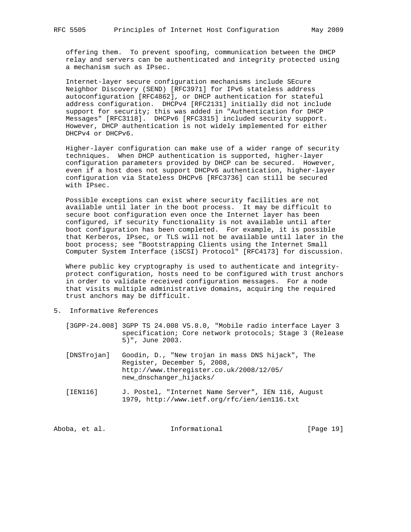offering them. To prevent spoofing, communication between the DHCP relay and servers can be authenticated and integrity protected using a mechanism such as IPsec.

 Internet-layer secure configuration mechanisms include SEcure Neighbor Discovery (SEND) [RFC3971] for IPv6 stateless address autoconfiguration [RFC4862], or DHCP authentication for stateful address configuration. DHCPv4 [RFC2131] initially did not include support for security; this was added in "Authentication for DHCP Messages" [RFC3118]. DHCPv6 [RFC3315] included security support. However, DHCP authentication is not widely implemented for either DHCPv4 or DHCPv6.

 Higher-layer configuration can make use of a wider range of security techniques. When DHCP authentication is supported, higher-layer configuration parameters provided by DHCP can be secured. However, even if a host does not support DHCPv6 authentication, higher-layer configuration via Stateless DHCPv6 [RFC3736] can still be secured with IPsec.

 Possible exceptions can exist where security facilities are not available until later in the boot process. It may be difficult to secure boot configuration even once the Internet layer has been configured, if security functionality is not available until after boot configuration has been completed. For example, it is possible that Kerberos, IPsec, or TLS will not be available until later in the boot process; see "Bootstrapping Clients using the Internet Small Computer System Interface (iSCSI) Protocol" [RFC4173] for discussion.

 Where public key cryptography is used to authenticate and integrity protect configuration, hosts need to be configured with trust anchors in order to validate received configuration messages. For a node that visits multiple administrative domains, acquiring the required trust anchors may be difficult.

- 5. Informative References
	- [3GPP-24.008] 3GPP TS 24.008 V5.8.0, "Mobile radio interface Layer 3 specification; Core network protocols; Stage 3 (Release 5)", June 2003.
	- [DNSTrojan] Goodin, D., "New trojan in mass DNS hijack", The Register, December 5, 2008, http://www.theregister.co.uk/2008/12/05/ new\_dnschanger\_hijacks/
	- [IEN116] J. Postel, "Internet Name Server", IEN 116, August 1979, http://www.ietf.org/rfc/ien/ien116.txt

Aboba, et al. 10 Informational 19 [Page 19]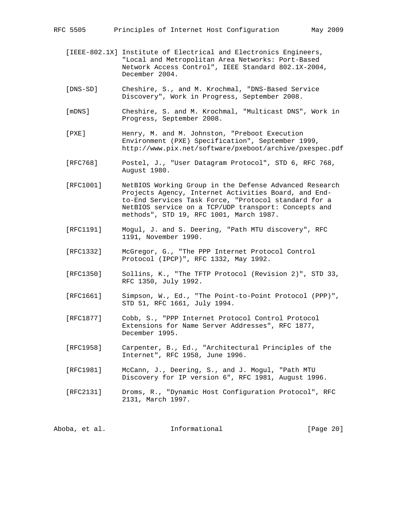- [IEEE-802.1X] Institute of Electrical and Electronics Engineers, "Local and Metropolitan Area Networks: Port-Based Network Access Control", IEEE Standard 802.1X-2004, December 2004.
- [DNS-SD] Cheshire, S., and M. Krochmal, "DNS-Based Service Discovery", Work in Progress, September 2008.
- [mDNS] Cheshire, S. and M. Krochmal, "Multicast DNS", Work in Progress, September 2008.
- [PXE] Henry, M. and M. Johnston, "Preboot Execution Environment (PXE) Specification", September 1999, http://www.pix.net/software/pxeboot/archive/pxespec.pdf
- [RFC768] Postel, J., "User Datagram Protocol", STD 6, RFC 768, August 1980.
- [RFC1001] NetBIOS Working Group in the Defense Advanced Research Projects Agency, Internet Activities Board, and End to-End Services Task Force, "Protocol standard for a NetBIOS service on a TCP/UDP transport: Concepts and methods", STD 19, RFC 1001, March 1987.
- [RFC1191] Mogul, J. and S. Deering, "Path MTU discovery", RFC 1191, November 1990.
- [RFC1332] McGregor, G., "The PPP Internet Protocol Control Protocol (IPCP)", RFC 1332, May 1992.
- [RFC1350] Sollins, K., "The TFTP Protocol (Revision 2)", STD 33, RFC 1350, July 1992.
- [RFC1661] Simpson, W., Ed., "The Point-to-Point Protocol (PPP)", STD 51, RFC 1661, July 1994.
- [RFC1877] Cobb, S., "PPP Internet Protocol Control Protocol Extensions for Name Server Addresses", RFC 1877, December 1995.
- [RFC1958] Carpenter, B., Ed., "Architectural Principles of the Internet", RFC 1958, June 1996.
- [RFC1981] McCann, J., Deering, S., and J. Mogul, "Path MTU Discovery for IP version 6", RFC 1981, August 1996.
- [RFC2131] Droms, R., "Dynamic Host Configuration Protocol", RFC 2131, March 1997.

Aboba, et al. Informational [Page 20]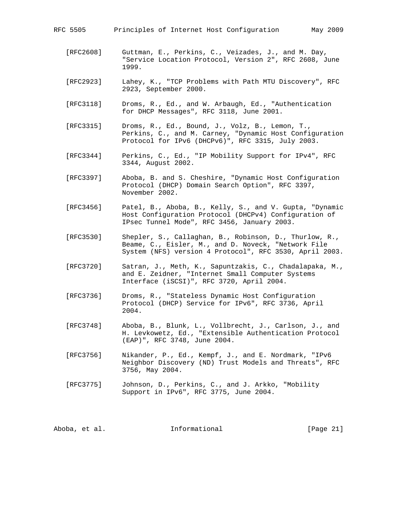| RFC 5505 |  |  | Principles of Internet Host Configuration | May 2009 |
|----------|--|--|-------------------------------------------|----------|
|----------|--|--|-------------------------------------------|----------|

- [RFC2608] Guttman, E., Perkins, C., Veizades, J., and M. Day, "Service Location Protocol, Version 2", RFC 2608, June 1999.
- [RFC2923] Lahey, K., "TCP Problems with Path MTU Discovery", RFC 2923, September 2000.
- [RFC3118] Droms, R., Ed., and W. Arbaugh, Ed., "Authentication for DHCP Messages", RFC 3118, June 2001.
- [RFC3315] Droms, R., Ed., Bound, J., Volz, B., Lemon, T., Perkins, C., and M. Carney, "Dynamic Host Configuration Protocol for IPv6 (DHCPv6)", RFC 3315, July 2003.
- [RFC3344] Perkins, C., Ed., "IP Mobility Support for IPv4", RFC 3344, August 2002.
- [RFC3397] Aboba, B. and S. Cheshire, "Dynamic Host Configuration Protocol (DHCP) Domain Search Option", RFC 3397, November 2002.
- [RFC3456] Patel, B., Aboba, B., Kelly, S., and V. Gupta, "Dynamic Host Configuration Protocol (DHCPv4) Configuration of IPsec Tunnel Mode", RFC 3456, January 2003.
- [RFC3530] Shepler, S., Callaghan, B., Robinson, D., Thurlow, R., Beame, C., Eisler, M., and D. Noveck, "Network File System (NFS) version 4 Protocol", RFC 3530, April 2003.
- [RFC3720] Satran, J., Meth, K., Sapuntzakis, C., Chadalapaka, M., and E. Zeidner, "Internet Small Computer Systems Interface (iSCSI)", RFC 3720, April 2004.
- [RFC3736] Droms, R., "Stateless Dynamic Host Configuration Protocol (DHCP) Service for IPv6", RFC 3736, April 2004.
- [RFC3748] Aboba, B., Blunk, L., Vollbrecht, J., Carlson, J., and H. Levkowetz, Ed., "Extensible Authentication Protocol (EAP)", RFC 3748, June 2004.
- [RFC3756] Nikander, P., Ed., Kempf, J., and E. Nordmark, "IPv6 Neighbor Discovery (ND) Trust Models and Threats", RFC 3756, May 2004.
- [RFC3775] Johnson, D., Perkins, C., and J. Arkko, "Mobility Support in IPv6", RFC 3775, June 2004.

Aboba, et al. Informational [Page 21]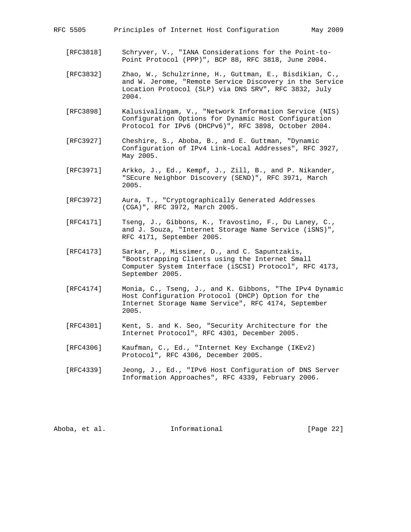- [RFC3818] Schryver, V., "IANA Considerations for the Point-to- Point Protocol (PPP)", BCP 88, RFC 3818, June 2004.
- [RFC3832] Zhao, W., Schulzrinne, H., Guttman, E., Bisdikian, C., and W. Jerome, "Remote Service Discovery in the Service Location Protocol (SLP) via DNS SRV", RFC 3832, July 2004.
- [RFC3898] Kalusivalingam, V., "Network Information Service (NIS) Configuration Options for Dynamic Host Configuration Protocol for IPv6 (DHCPv6)", RFC 3898, October 2004.
- [RFC3927] Cheshire, S., Aboba, B., and E. Guttman, "Dynamic Configuration of IPv4 Link-Local Addresses", RFC 3927, May 2005.
- [RFC3971] Arkko, J., Ed., Kempf, J., Zill, B., and P. Nikander, "SEcure Neighbor Discovery (SEND)", RFC 3971, March 2005.
- [RFC3972] Aura, T., "Cryptographically Generated Addresses (CGA)", RFC 3972, March 2005.
- [RFC4171] Tseng, J., Gibbons, K., Travostino, F., Du Laney, C., and J. Souza, "Internet Storage Name Service (iSNS)", RFC 4171, September 2005.
- [RFC4173] Sarkar, P., Missimer, D., and C. Sapuntzakis, "Bootstrapping Clients using the Internet Small Computer System Interface (iSCSI) Protocol", RFC 4173, September 2005.
- [RFC4174] Monia, C., Tseng, J., and K. Gibbons, "The IPv4 Dynamic Host Configuration Protocol (DHCP) Option for the Internet Storage Name Service", RFC 4174, September 2005.
- [RFC4301] Kent, S. and K. Seo, "Security Architecture for the Internet Protocol", RFC 4301, December 2005.
- [RFC4306] Kaufman, C., Ed., "Internet Key Exchange (IKEv2) Protocol", RFC 4306, December 2005.
- [RFC4339] Jeong, J., Ed., "IPv6 Host Configuration of DNS Server Information Approaches", RFC 4339, February 2006.

Aboba, et al. **Informational** [Page 22]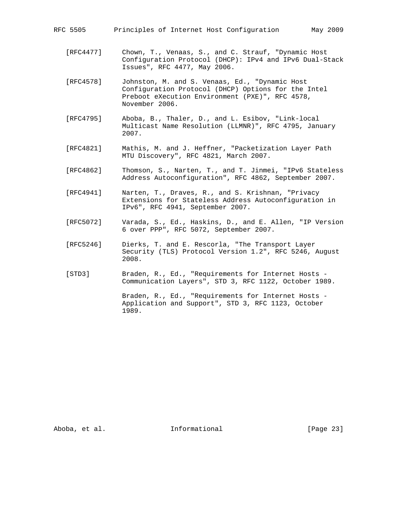- [RFC4477] Chown, T., Venaas, S., and C. Strauf, "Dynamic Host Configuration Protocol (DHCP): IPv4 and IPv6 Dual-Stack Issues", RFC 4477, May 2006.
- [RFC4578] Johnston, M. and S. Venaas, Ed., "Dynamic Host Configuration Protocol (DHCP) Options for the Intel Preboot eXecution Environment (PXE)", RFC 4578, November 2006.
- [RFC4795] Aboba, B., Thaler, D., and L. Esibov, "Link-local Multicast Name Resolution (LLMNR)", RFC 4795, January 2007.
- [RFC4821] Mathis, M. and J. Heffner, "Packetization Layer Path MTU Discovery", RFC 4821, March 2007.
- [RFC4862] Thomson, S., Narten, T., and T. Jinmei, "IPv6 Stateless Address Autoconfiguration", RFC 4862, September 2007.
- [RFC4941] Narten, T., Draves, R., and S. Krishnan, "Privacy Extensions for Stateless Address Autoconfiguration in IPv6", RFC 4941, September 2007.
- [RFC5072] Varada, S., Ed., Haskins, D., and E. Allen, "IP Version 6 over PPP", RFC 5072, September 2007.
- [RFC5246] Dierks, T. and E. Rescorla, "The Transport Layer Security (TLS) Protocol Version 1.2", RFC 5246, August 2008.
- [STD3] Braden, R., Ed., "Requirements for Internet Hosts Communication Layers", STD 3, RFC 1122, October 1989.

 Braden, R., Ed., "Requirements for Internet Hosts - Application and Support", STD 3, RFC 1123, October 1989.

Aboba, et al. Informational [Page 23]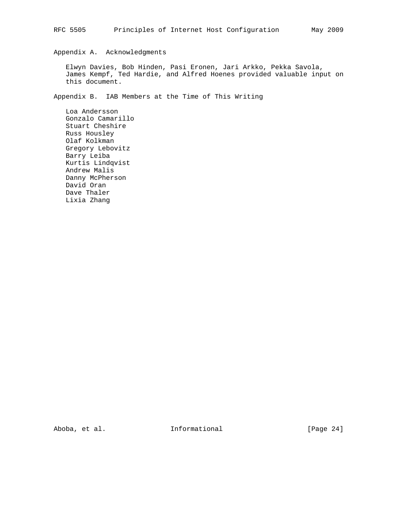Appendix A. Acknowledgments

 Elwyn Davies, Bob Hinden, Pasi Eronen, Jari Arkko, Pekka Savola, James Kempf, Ted Hardie, and Alfred Hoenes provided valuable input on this document.

Appendix B. IAB Members at the Time of This Writing

 Loa Andersson Gonzalo Camarillo Stuart Cheshire Russ Housley Olaf Kolkman Gregory Lebovitz Barry Leiba Kurtis Lindqvist Andrew Malis Danny McPherson David Oran Dave Thaler Lixia Zhang

Aboba, et al. 10 Informational 1999 [Page 24]